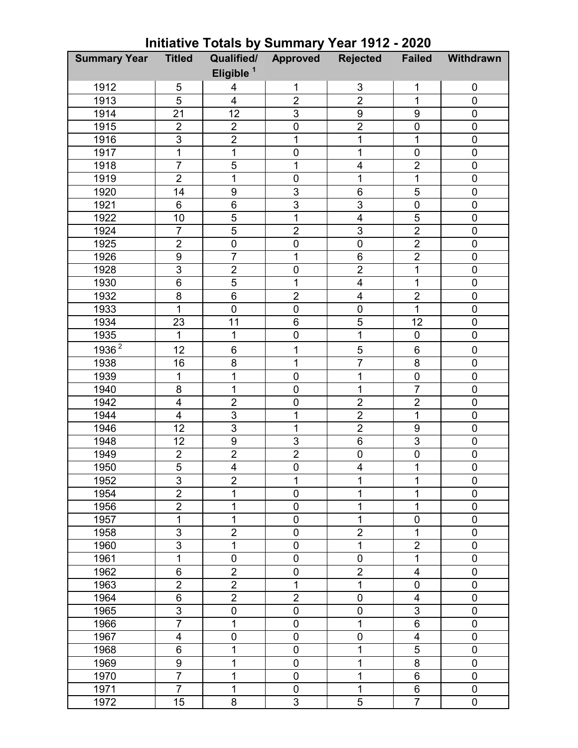| <b>Summary Year</b> | <b>Titled</b>           | Qualified/            | Approved         | <b>Rejected</b>         | <b>Failed</b>           | Withdrawn        |
|---------------------|-------------------------|-----------------------|------------------|-------------------------|-------------------------|------------------|
|                     |                         | Eligible <sup>1</sup> |                  |                         |                         |                  |
| 1912                | 5                       | 4                     | 1                | 3                       | 1                       | 0                |
| 1913                | 5                       | 4                     | $\overline{2}$   | $\overline{2}$          | 1                       | $\mathbf 0$      |
| 1914                | 21                      | 12                    | $\overline{3}$   | 9                       | 9                       | $\overline{0}$   |
| 1915                | $\overline{2}$          | $\overline{2}$        | $\boldsymbol{0}$ | $\overline{2}$          | $\mathbf 0$             | $\boldsymbol{0}$ |
| 1916                | 3                       | $\overline{2}$        | 1                | $\mathbf{1}$            | 1                       | $\mathbf 0$      |
| 1917                | 1                       | $\overline{1}$        | $\boldsymbol{0}$ | 1                       | $\mathbf 0$             | $\mathbf 0$      |
| 1918                | $\overline{7}$          | 5                     | 1                | 4                       | $\overline{2}$          | $\mathbf 0$      |
| 1919                | $\overline{2}$          | $\overline{1}$        | $\boldsymbol{0}$ | $\mathbf{1}$            | 1                       | $\mathbf 0$      |
| 1920                | 14                      | $\boldsymbol{9}$      | 3                | $\,6$                   | 5                       | $\pmb{0}$        |
| 1921                | 6                       | $6\phantom{1}6$       | $\overline{3}$   | 3                       | $\mathbf 0$             | $\overline{0}$   |
| 1922                | 10                      | 5                     | 1                | 4                       | 5                       | $\pmb{0}$        |
| 1924                | $\overline{7}$          | $\overline{5}$        | $\overline{2}$   | 3                       | $\overline{2}$          | $\pmb{0}$        |
| 1925                | $\overline{2}$          | $\mathbf 0$           | $\overline{0}$   | $\mathbf 0$             | $\overline{2}$          | $\overline{0}$   |
| 1926                | 9                       | $\overline{7}$        | 1                | 6                       | $\overline{2}$          | $\mathbf 0$      |
| 1928                | $\overline{3}$          | $\overline{2}$        | $\mathbf 0$      | $\overline{2}$          | 1                       | $\mathbf 0$      |
| 1930                | 6                       | $\overline{5}$        | 1                | 4                       | 1                       | $\mathbf 0$      |
| 1932                | 8                       | $6\phantom{1}$        | $\overline{2}$   | $\overline{\mathbf{4}}$ | $\overline{2}$          | $\mathbf 0$      |
| 1933                | 1                       | $\mathbf 0$           | $\mathbf 0$      | $\mathbf 0$             | $\overline{1}$          | $\pmb{0}$        |
| 1934                | 23                      | 11                    | 6                | 5                       | 12                      | $\pmb{0}$        |
| 1935                | 1                       | 1                     | $\overline{0}$   | $\overline{1}$          | $\overline{0}$          | $\overline{0}$   |
| $1936^2$            | 12                      | $\,6$                 | 1                | $\overline{5}$          | 6                       | $\pmb{0}$        |
| 1938                | 16                      | 8                     | 1                | $\overline{7}$          | 8                       | $\overline{0}$   |
| 1939                | 1                       | $\mathbf 1$           | $\boldsymbol{0}$ | $\mathbf{1}$            | $\mathbf 0$             | $\pmb{0}$        |
| 1940                | 8                       | $\mathbf 1$           | $\boldsymbol{0}$ | 1                       | $\overline{7}$          | $\pmb{0}$        |
| 1942                | $\overline{\mathbf{4}}$ | $\overline{2}$        | $\mathbf 0$      | $\overline{2}$          | $\overline{2}$          | $\mathbf 0$      |
| 1944                | 4                       | $\overline{3}$        | 1                | $\overline{2}$          | 1                       | $\mathbf 0$      |
| 1946                | 12                      | $\overline{3}$        | 1                | $\overline{2}$          | $\boldsymbol{9}$        | $\mathbf 0$      |
| 1948                | 12                      | 9                     | 3                | $\,6$                   | 3                       | $\mathbf 0$      |
| 1949                | $\overline{2}$          | $\overline{c}$        | $\overline{2}$   | $\pmb{0}$               | $\boldsymbol{0}$        | $\pmb{0}$        |
| 1950                | $\overline{5}$          | $\overline{4}$        | $\overline{0}$   | $\overline{4}$          | 1                       | $\overline{0}$   |
| 1952                | 3                       | $\overline{2}$        | 1                | 1                       | 1                       | 0                |
| 1954                | $\overline{2}$          | 1                     | $\overline{0}$   | 1                       | 1                       | $\overline{0}$   |
| 1956                | $\overline{2}$          | 1                     | $\pmb{0}$        | 1                       | 1                       | $\pmb{0}$        |
| 1957                | 1                       | 1                     | $\mathbf 0$      | 1                       | 0                       | 0                |
| 1958                | 3                       | $\overline{2}$        | $\mathbf 0$      | $\overline{2}$          | 1                       | $\mathbf 0$      |
| 1960                | 3                       | 1                     | $\mathbf 0$      | $\mathbf{1}$            | $\overline{2}$          | $\pmb{0}$        |
| 1961                | 1                       | $\mathbf 0$           | $\mathbf 0$      | $\pmb{0}$               | 1                       | $\mathbf 0$      |
| 1962                | 6                       | $\overline{2}$        | $\mathbf 0$      | $\overline{2}$          | 4                       | $\mathbf 0$      |
| 1963                | $\overline{2}$          | $\overline{2}$        | 1                | 1                       | 0                       | $\mathbf 0$      |
| 1964                | 6                       | $\overline{2}$        | $\overline{2}$   | $\pmb{0}$               | $\overline{\mathbf{4}}$ | $\mathbf 0$      |
| 1965                | 3                       | $\pmb{0}$             | $\pmb{0}$        | 0                       | 3                       | 0                |
| 1966                | $\overline{7}$          | 1                     | $\mathbf 0$      | $\mathbf{1}$            | 6                       | $\overline{0}$   |
| 1967                | $\overline{\mathbf{4}}$ | $\mathbf 0$           | $\pmb{0}$        | 0                       | $\overline{\mathbf{4}}$ | $\mathbf 0$      |
| 1968                | 6                       | 1                     | $\mathbf 0$      | 1                       | 5                       | $\mathbf 0$      |
| 1969                | 9                       | 1                     | $\mathbf 0$      | 1                       | 8                       | $\overline{0}$   |
| 1970                | $\overline{7}$          | 1                     | $\pmb{0}$        | 1                       | 6                       | $\pmb{0}$        |
| 1971                | $\overline{7}$          | 1                     | $\mathbf 0$      | $\mathbf{1}$            | 6                       | $\mathbf 0$      |
| 1972                | 15                      | 8                     | 3                | 5                       | $\overline{7}$          | $\mathbf 0$      |

## **Initiative Totals by Summary Year 1912 - 2020**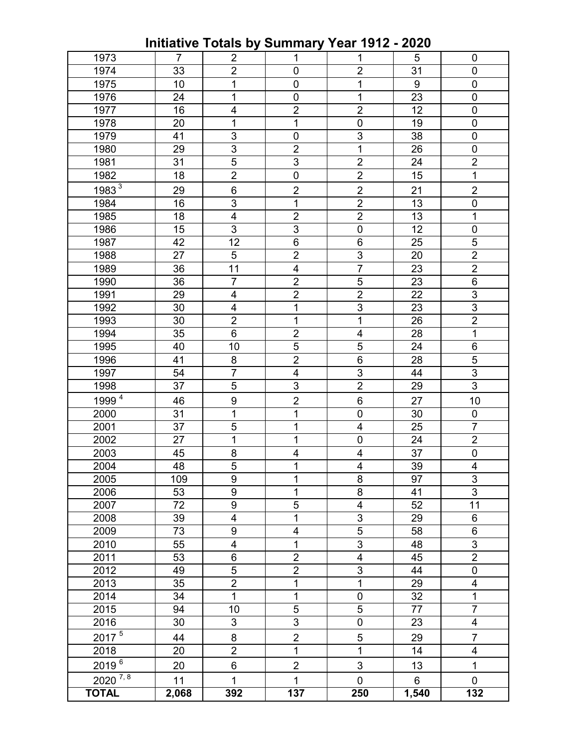**Initiative Totals by Summary Year 1912 - 2020** 

| 1973                 | $\overline{7}$ | $\overline{2}$          | $\mathbf{1}$   | 1                        | 5                | $\mathbf 0$              |
|----------------------|----------------|-------------------------|----------------|--------------------------|------------------|--------------------------|
| 1974                 | 33             | $\overline{2}$          | 0              | $\overline{2}$           | 31               | 0                        |
| 1975                 | 10             | 1                       | $\pmb{0}$      | 1                        | $\boldsymbol{9}$ | 0                        |
| 1976                 | 24             | 1                       | $\mathbf 0$    | 1                        | 23               | 0                        |
| 1977                 | 16             | $\overline{\mathbf{4}}$ | $\overline{2}$ | $\overline{2}$           | 12               | $\mathbf 0$              |
| 1978                 | 20             | 1                       | 1              | $\boldsymbol{0}$         | 19               | 0                        |
| 1979                 | 41             | 3                       | 0              | 3                        | 38               | 0                        |
| 1980                 | 29             | 3                       | $\overline{2}$ | 1                        | 26               | 0                        |
| 1981                 | 31             | 5                       | 3              | $\overline{2}$           | 24               | $\overline{2}$           |
| 1982                 | 18             | $\overline{2}$          | $\mathbf 0$    | $\overline{2}$           | 15               | $\mathbf{1}$             |
| 1983 <sup>3</sup>    | 29             | $6\phantom{1}6$         | $\overline{2}$ | $\overline{2}$           | 21               | $\overline{2}$           |
| 1984                 | 16             | $\mathsf 3$             | 1              | $\overline{2}$           | 13               | 0                        |
| 1985                 | 18             | 4                       | $\overline{2}$ | $\overline{2}$           | 13               | 1                        |
| 1986                 | 15             | 3                       | 3              | $\boldsymbol{0}$         | 12               | 0                        |
| 1987                 | 42             | 12                      | 6              | 6                        | 25               | 5                        |
| 1988                 | 27             | 5                       | $\overline{2}$ | 3                        | 20               | $\overline{2}$           |
| 1989                 | 36             | 11                      | 4              | $\overline{7}$           | 23               | $\overline{2}$           |
| 1990                 | 36             | $\overline{7}$          | $\overline{2}$ | 5                        | 23               | 6                        |
| 1991                 | 29             | 4                       | $\overline{2}$ | $\overline{2}$           | 22               | 3                        |
| 1992                 | 30             | 4                       | 1              | 3                        | 23               | 3                        |
| 1993                 | 30             | $\overline{2}$          | 1              | 1                        | 26               | $\overline{2}$           |
| 1994                 | 35             | $\,6$                   | $\overline{2}$ | 4                        | 28               | $\mathbf 1$              |
| 1995                 | 40             | 10                      | $\overline{5}$ | 5                        | 24               | 6                        |
| 1996                 | 41             | 8                       | $\overline{2}$ | $6\phantom{1}$           | 28               | 5                        |
| 1997                 | 54             | $\overline{7}$          | 4              | 3                        | 44               | $\overline{3}$           |
| 1998                 | 37             | 5                       | 3              | $\overline{2}$           | 29               | $\overline{3}$           |
| 1999 <sup>4</sup>    | 46             | $\boldsymbol{9}$        | $\overline{2}$ | 6                        | 27               | 10                       |
| 2000                 | 31             | 1                       | 1              | $\mathbf 0$              | 30               | $\pmb{0}$                |
| 2001                 | 37             | 5                       | 1              | $\overline{4}$           | 25               | $\overline{7}$           |
| 2002                 | 27             | 1                       | 1              | $\mathbf 0$              | 24               | $\overline{2}$           |
| 2003                 | 45             | 8                       | 4              | 4                        | 37               | $\pmb{0}$                |
| 2004                 | 48             | $\overline{5}$          | 1              | $\overline{\mathcal{A}}$ | 39               | 4                        |
| 2005                 | 109            | $\boldsymbol{9}$        | 1              | 8                        | 97               | 3                        |
| 2006                 | 53             | 9                       | 1              | 8                        | 41               | $\overline{3}$           |
| 2007                 | 72             | 9                       | 5              | $\overline{\mathcal{A}}$ | 52               | 11                       |
| 2008                 | 39             | 4                       | 1              | 3                        | 29               | 6                        |
| 2009                 | 73             | 9                       | 4              | 5                        | 58               | 6                        |
| 2010                 | 55             | $\overline{\mathbf{4}}$ | 1              | 3                        | 48               | $\overline{3}$           |
| 2011                 | 53             | 6                       | $\overline{2}$ | 4                        | 45               | $\overline{2}$           |
| 2012                 | 49             | $\overline{5}$          | $\overline{2}$ | 3                        | 44               | 0                        |
| 2013                 | 35             | $\overline{2}$          | $\mathbf{1}$   | 1                        | 29               | 4                        |
| 2014                 | 34             | $\mathbf 1$             | 1              | $\mathbf 0$              | 32               | $\mathbf{1}$             |
| 2015                 | 94             | 10                      | 5              | 5                        | 77               | $\overline{7}$           |
| 2016                 | 30             | 3                       | 3              | $\boldsymbol{0}$         | 23               | $\overline{\mathcal{A}}$ |
| $2017^{5}$           | 44             | 8                       | $\overline{2}$ | 5                        | 29               | $\overline{7}$           |
| 2018                 | 20             | $\overline{c}$          | $\mathbf{1}$   | 1                        | 14               | $\overline{\mathcal{A}}$ |
| $\frac{2019^{6}}{6}$ | 20             | 6                       | $\overline{2}$ | $\sqrt{3}$               | 13               | 1                        |
| $2020^{7,8}$         | 11             | $\mathbf{1}$            | $\mathbf{1}$   | $\mathbf 0$              | 6                | $\mathbf 0$              |
| <b>TOTAL</b>         | 2,068          | 392                     | 137            | 250                      | 1,540            | 132                      |